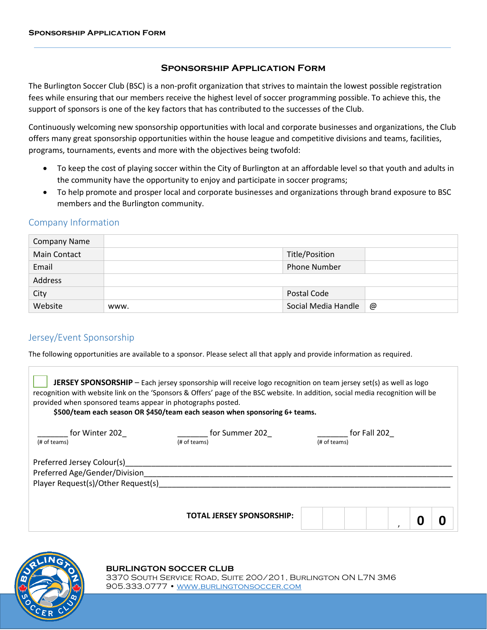## **Sponsorship Application Form**

The Burlington Soccer Club (BSC) is a non-profit organization that strives to maintain the lowest possible registration fees while ensuring that our members receive the highest level of soccer programming possible. To achieve this, the support of sponsors is one of the key factors that has contributed to the successes of the Club.

Continuously welcoming new sponsorship opportunities with local and corporate businesses and organizations, the Club offers many great sponsorship opportunities within the house league and competitive divisions and teams, facilities, programs, tournaments, events and more with the objectives being twofold:

- To keep the cost of playing soccer within the City of Burlington at an affordable level so that youth and adults in the community have the opportunity to enjoy and participate in soccer programs;
- To help promote and prosper local and corporate businesses and organizations through brand exposure to BSC members and the Burlington community.

## Company Information

| <b>Company Name</b> |      |                     |   |
|---------------------|------|---------------------|---|
| <b>Main Contact</b> |      | Title/Position      |   |
| Email               |      | <b>Phone Number</b> |   |
| Address             |      |                     |   |
| City                |      | Postal Code         |   |
| Website             | www. | Social Media Handle | @ |

## Jersey/Event Sponsorship

The following opportunities are available to a sponsor. Please select all that apply and provide information as required.

**JERSEY SPONSORSHIP** – Each jersey sponsorship will receive logo recognition on team jersey set(s) as well as logo recognition with website link on the 'Sponsors & Offers' page of the BSC website. In addition, social media recognition will be provided when sponsored teams appear in photographs posted.

**\$500/team each season OR \$450/team each season when sponsoring 6+ teams.**

| for Winter 202<br>(# of teams)                                                                    | for Summer 202<br>(# of teams)   | for Fall 202<br>(# of teams) |
|---------------------------------------------------------------------------------------------------|----------------------------------|------------------------------|
| Preferred Jersey Colour(s)<br>Preferred Age/Gender/Division<br>Player Request(s)/Other Request(s) |                                  |                              |
|                                                                                                   | <b>TOTAL JERSEY SPONSORSHIP:</b> |                              |



## **BURLINGTON SOCCER CLUB**

3370 South Service Road, Suite 200/201, Burlington ON L7N 3M6 905.333.0777 [• www.burlingtonsoccer.com](http://www.burlingtonsoccer.com/)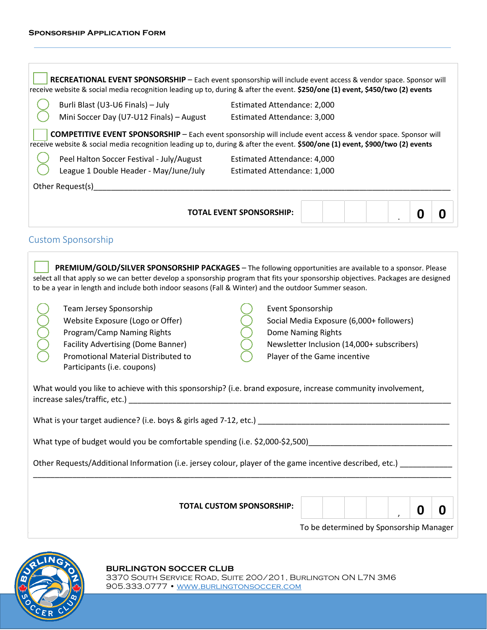R

| Burli Blast (U3-U6 Finals) - July                                                                                                                                                                                                                             | <b>Estimated Attendance: 2,000</b> |                                            |  |   |   |
|---------------------------------------------------------------------------------------------------------------------------------------------------------------------------------------------------------------------------------------------------------------|------------------------------------|--------------------------------------------|--|---|---|
| Mini Soccer Day (U7-U12 Finals) - August                                                                                                                                                                                                                      | <b>Estimated Attendance: 3,000</b> |                                            |  |   |   |
|                                                                                                                                                                                                                                                               |                                    |                                            |  |   |   |
| <b>COMPETITIVE EVENT SPONSORSHIP</b> - Each event sponsorship will include event access & vendor space. Sponsor will<br>receive website & social media recognition leading up to, during & after the event. \$500/one (1) event, \$900/two (2) events         |                                    |                                            |  |   |   |
| Peel Halton Soccer Festival - July/August                                                                                                                                                                                                                     | <b>Estimated Attendance: 4,000</b> |                                            |  |   |   |
| League 1 Double Header - May/June/July                                                                                                                                                                                                                        | Estimated Attendance: 1,000        |                                            |  |   |   |
| Other Request(s)_____________                                                                                                                                                                                                                                 |                                    |                                            |  |   |   |
|                                                                                                                                                                                                                                                               |                                    |                                            |  |   |   |
|                                                                                                                                                                                                                                                               | <b>TOTAL EVENT SPONSORSHIP:</b>    |                                            |  | 0 | O |
|                                                                                                                                                                                                                                                               |                                    |                                            |  |   |   |
| <b>Custom Sponsorship</b>                                                                                                                                                                                                                                     |                                    |                                            |  |   |   |
|                                                                                                                                                                                                                                                               |                                    |                                            |  |   |   |
| <b>PREMIUM/GOLD/SILVER SPONSORSHIP PACKAGES</b> - The following opportunities are available to a sponsor. Please<br>select all that apply so we can better develop a sponsorship program that fits your sponsorship objectives. Packages are designed         |                                    |                                            |  |   |   |
| to be a year in length and include both indoor seasons (Fall & Winter) and the outdoor Summer season.                                                                                                                                                         |                                    |                                            |  |   |   |
|                                                                                                                                                                                                                                                               |                                    |                                            |  |   |   |
| Team Jersey Sponsorship                                                                                                                                                                                                                                       | Event Sponsorship                  |                                            |  |   |   |
| Website Exposure (Logo or Offer)                                                                                                                                                                                                                              |                                    | Social Media Exposure (6,000+ followers)   |  |   |   |
| Program/Camp Naming Rights<br><b>Facility Advertising (Dome Banner)</b>                                                                                                                                                                                       | Dome Naming Rights                 | Newsletter Inclusion (14,000+ subscribers) |  |   |   |
| Promotional Material Distributed to                                                                                                                                                                                                                           |                                    | Player of the Game incentive               |  |   |   |
| Participants (i.e. coupons)                                                                                                                                                                                                                                   |                                    |                                            |  |   |   |
|                                                                                                                                                                                                                                                               |                                    |                                            |  |   |   |
| What would you like to achieve with this sponsorship? (i.e. brand exposure, increase community involvement,                                                                                                                                                   |                                    |                                            |  |   |   |
| increase sales/traffic, etc.)                                                                                                                                                                                                                                 |                                    |                                            |  |   |   |
|                                                                                                                                                                                                                                                               |                                    |                                            |  |   |   |
|                                                                                                                                                                                                                                                               |                                    |                                            |  |   |   |
|                                                                                                                                                                                                                                                               |                                    |                                            |  |   |   |
|                                                                                                                                                                                                                                                               |                                    |                                            |  |   |   |
|                                                                                                                                                                                                                                                               |                                    |                                            |  |   |   |
| What is your target audience? (i.e. boys & girls aged 7-12, etc.)<br>What type of budget would you be comfortable spending (i.e. \$2,000-\$2,500)<br>Other Requests/Additional Information (i.e. jersey colour, player of the game incentive described, etc.) |                                    |                                            |  |   |   |
|                                                                                                                                                                                                                                                               |                                    |                                            |  |   |   |
|                                                                                                                                                                                                                                                               |                                    |                                            |  |   |   |
|                                                                                                                                                                                                                                                               | <b>TOTAL CUSTOM SPONSORSHIP:</b>   |                                            |  | 0 | 0 |

**BURLINGTON SOCCER CLUB** 3370 South Service Road, Suite 200/201, Burlington ON L7N 3M6 905.333.0777 [• www.burlingtonsoccer.com](http://www.burlingtonsoccer.com/)